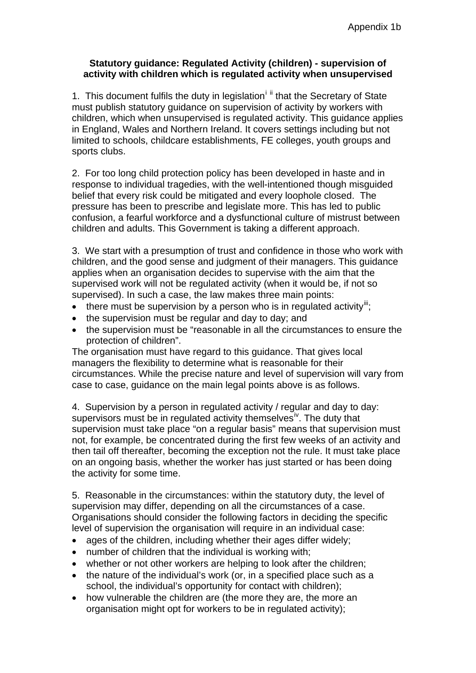## **Statutory guidance: Regulated Activity (children) - supervision of activity with children which is regulated activity when unsupervised**

1. Th[i](#page-2-0)s document fulfils the duty in legislation<sup>i [ii](#page-2-1)</sup> that the Secretary of State must publish statutory guidance on supervision of activity by workers with children, which when unsupervised is regulated activity. This guidance applies in England, Wales and Northern Ireland. It covers settings including but not limited to schools, childcare establishments, FE colleges, youth groups and sports clubs.

2. For too long child protection policy has been developed in haste and in response to individual tragedies, with the well-intentioned though misguided belief that every risk could be mitigated and every loophole closed. The pressure has been to prescribe and legislate more. This has led to public confusion, a fearful workforce and a dysfunctional culture of mistrust between children and adults. This Government is taking a different approach.

3. We start with a presumption of trust and confidence in those who work with children, and the good sense and judgment of their managers. This guidance applies when an organisation decides to supervise with the aim that the supervised work will not be regulated activity (when it would be, if not so supervised). In such a case, the law makes three main points:

- $\bullet$  there must be supervision by a person who is in regulated activity<sup>[iii](#page-2-2)</sup>;
- the supervision must be regular and day to day; and
- the supervision must be "reasonable in all the circumstances to ensure the protection of children".

The organisation must have regard to this guidance. That gives local managers the flexibility to determine what is reasonable for their circumstances. While the precise nature and level of supervision will vary from case to case, guidance on the main legal points above is as follows.

4. Supervision by a person in regulated activity / regular and day to day: supervisors must be in regulated act[iv](#page-2-3)ity themselves<sup>iv</sup>. The duty that supervision must take place "on a regular basis" means that supervision must not, for example, be concentrated during the first few weeks of an activity and then tail off thereafter, becoming the exception not the rule. It must take place on an ongoing basis, whether the worker has just started or has been doing the activity for some time.

5. Reasonable in the circumstances: within the statutory duty, the level of supervision may differ, depending on all the circumstances of a case. Organisations should consider the following factors in deciding the specific level of supervision the organisation will require in an individual case:

- ages of the children, including whether their ages differ widely;
- number of children that the individual is working with;
- whether or not other workers are helping to look after the children;
- the nature of the individual's work (or, in a specified place such as a school, the individual's opportunity for contact with children);
- how vulnerable the children are (the more they are, the more an organisation might opt for workers to be in regulated activity);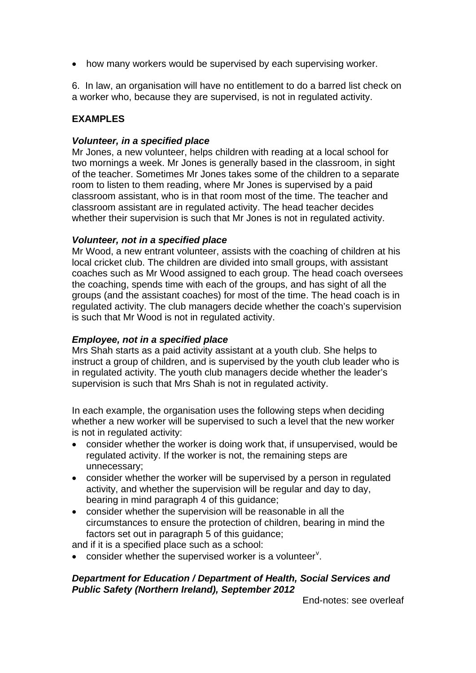• how many workers would be supervised by each supervising worker.

6. In law, an organisation will have no entitlement to do a barred list check on a worker who, because they are supervised, is not in regulated activity.

# **EXAMPLES**

## *Volunteer, in a specified place*

Mr Jones, a new volunteer, helps children with reading at a local school for two mornings a week. Mr Jones is generally based in the classroom, in sight of the teacher. Sometimes Mr Jones takes some of the children to a separate room to listen to them reading, where Mr Jones is supervised by a paid classroom assistant, who is in that room most of the time. The teacher and classroom assistant are in regulated activity. The head teacher decides whether their supervision is such that Mr Jones is not in regulated activity.

## *Volunteer, not in a specified place*

Mr Wood, a new entrant volunteer, assists with the coaching of children at his local cricket club. The children are divided into small groups, with assistant coaches such as Mr Wood assigned to each group. The head coach oversees the coaching, spends time with each of the groups, and has sight of all the groups (and the assistant coaches) for most of the time. The head coach is in regulated activity. The club managers decide whether the coach's supervision is such that Mr Wood is not in regulated activity.

#### *Employee, not in a specified place*

Mrs Shah starts as a paid activity assistant at a youth club. She helps to instruct a group of children, and is supervised by the youth club leader who is in regulated activity. The youth club managers decide whether the leader's supervision is such that Mrs Shah is not in regulated activity.

In each example, the organisation uses the following steps when deciding whether a new worker will be supervised to such a level that the new worker is not in regulated activity:

- consider whether the worker is doing work that, if unsupervised, would be regulated activity. If the worker is not, the remaining steps are unnecessary;
- consider whether the worker will be supervised by a person in regulated activity, and whether the supervision will be regular and day to day, bearing in mind paragraph 4 of this guidance;
- consider whether the supervision will be reasonable in all the circumstances to ensure the protection of children, bearing in mind the factors set out in paragraph 5 of this guidance;

and if it is a specified place such as a school:

 $\bullet$  consider whether the super[v](#page-2-4)ised worker is a volunteer<sup>y</sup>.

## *Department for Education / Department of Health, Social Services and Public Safety (Northern Ireland), September 2012*

End-notes: see overleaf